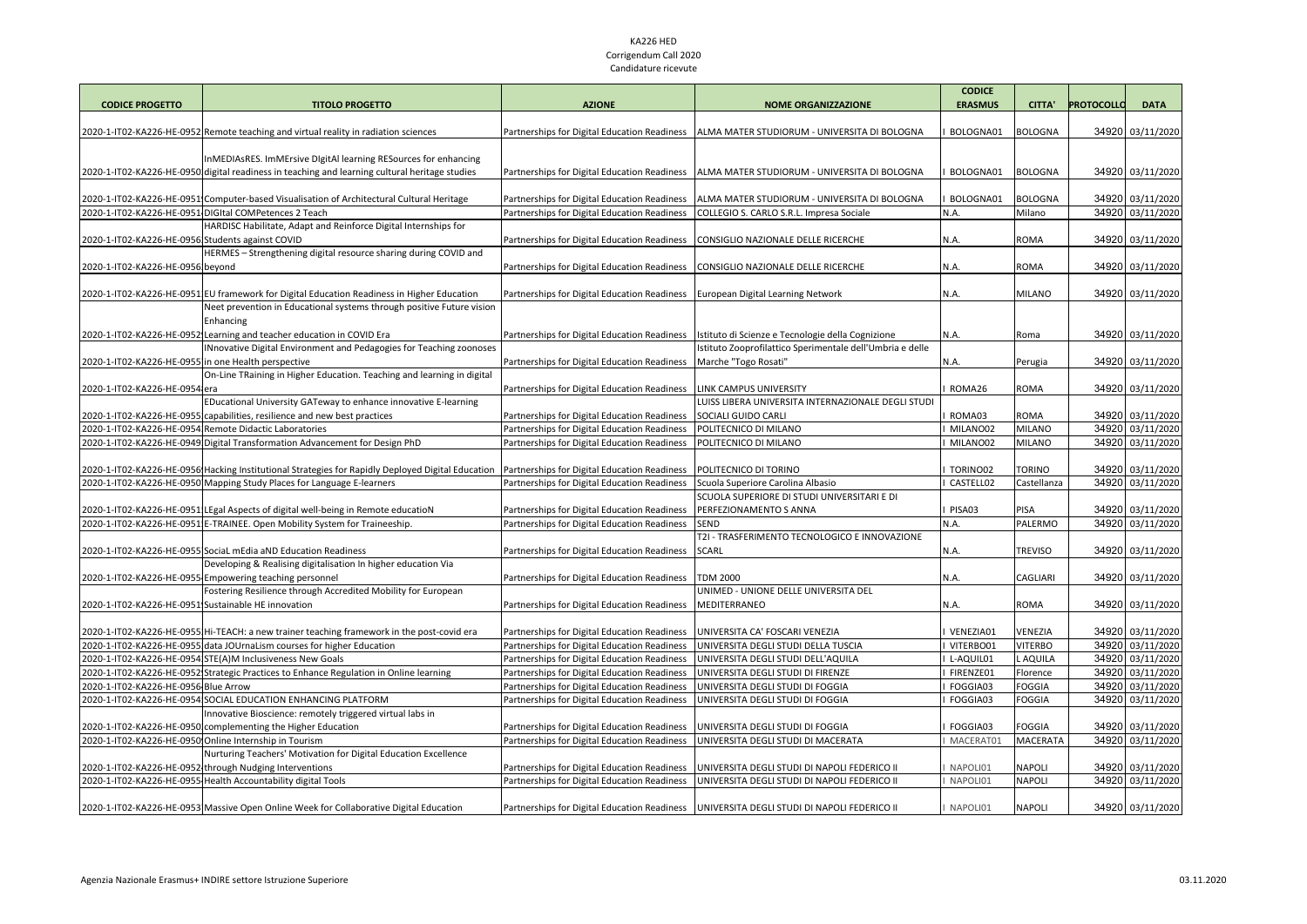## KA226 HED Corrigendum Call 2020 Candidature ricevute

| <b>CODICE PROGETTO</b>                              | <b>TITOLO PROGETTO</b>                                                                                                                                          | <b>AZIONE</b>                                                                                | <b>NOME ORGANIZZAZIONE</b>                                                                                    | <b>CODICE</b><br><b>ERASMUS</b> | <b>CITTA'</b>   | <b>PROTOCOLLO</b> | <b>DATA</b>                          |
|-----------------------------------------------------|-----------------------------------------------------------------------------------------------------------------------------------------------------------------|----------------------------------------------------------------------------------------------|---------------------------------------------------------------------------------------------------------------|---------------------------------|-----------------|-------------------|--------------------------------------|
|                                                     |                                                                                                                                                                 |                                                                                              |                                                                                                               |                                 |                 |                   |                                      |
|                                                     | 2020-1-IT02-KA226-HE-0952 Remote teaching and virtual reality in radiation sciences                                                                             | Partnerships for Digital Education Readiness                                                 | ALMA MATER STUDIORUM - UNIVERSITA DI BOLOGNA                                                                  | BOLOGNA01                       | <b>BOLOGNA</b>  |                   | 34920 03/11/2020                     |
|                                                     |                                                                                                                                                                 |                                                                                              |                                                                                                               |                                 |                 |                   |                                      |
|                                                     | InMEDIAsRES. ImMErsive DigitAl learning RESources for enhancing                                                                                                 |                                                                                              |                                                                                                               |                                 |                 |                   |                                      |
|                                                     | 2020-1-IT02-KA226-HE-0950 digital readiness in teaching and learning cultural heritage studies                                                                  | Partnerships for Digital Education Readiness                                                 | ALMA MATER STUDIORUM - UNIVERSITA DI BOLOGNA                                                                  | BOLOGNA01                       | <b>BOLOGNA</b>  |                   | 34920 03/11/2020                     |
|                                                     | 2020-1-IT02-KA226-HE-0951 Computer-based Visualisation of Architectural Cultural Heritage                                                                       | Partnerships for Digital Education Readiness                                                 | ALMA MATER STUDIORUM - UNIVERSITA DI BOLOGNA                                                                  | BOLOGNA01                       | <b>BOLOGNA</b>  |                   | 34920 03/11/2020                     |
|                                                     | 2020-1-IT02-KA226-HE-0951 DIGItal COMPetences 2 Teach                                                                                                           | Partnerships for Digital Education Readiness                                                 | COLLEGIO S. CARLO S.R.L. Impresa Sociale                                                                      | N.A.                            | Milano          |                   | 34920 03/11/2020                     |
|                                                     | HARDISC Habilitate, Adapt and Reinforce Digital Internships for                                                                                                 |                                                                                              |                                                                                                               |                                 |                 |                   |                                      |
| 2020-1-IT02-KA226-HE-0956IStudents against COVID    |                                                                                                                                                                 | Partnerships for Digital Education Readiness                                                 | CONSIGLIO NAZIONALE DELLE RICERCHE                                                                            | N.A.                            | ROMA            |                   | 34920 03/11/2020                     |
|                                                     | HERMES - Strengthening digital resource sharing during COVID and                                                                                                |                                                                                              |                                                                                                               |                                 |                 |                   |                                      |
| 2020-1-IT02-KA226-HE-0956 beyond                    |                                                                                                                                                                 | Partnerships for Digital Education Readiness                                                 | CONSIGLIO NAZIONALE DELLE RICERCHE                                                                            | N.A.                            | ROMA            |                   | 34920 03/11/2020                     |
|                                                     |                                                                                                                                                                 |                                                                                              |                                                                                                               |                                 |                 |                   |                                      |
|                                                     | 2020-1-IT02-KA226-HE-0951 EU framework for Digital Education Readiness in Higher Education                                                                      | Partnerships for Digital Education Readiness                                                 | European Digital Learning Network                                                                             | N.A.                            | <b>MILANO</b>   |                   | 34920 03/11/2020                     |
|                                                     | Neet prevention in Educational systems through positive Future vision                                                                                           |                                                                                              |                                                                                                               |                                 |                 |                   |                                      |
|                                                     | Enhancing                                                                                                                                                       |                                                                                              |                                                                                                               |                                 |                 |                   |                                      |
|                                                     | 2020-1-IT02-KA226-HE-0952 Learning and teacher education in COVID Era<br>INnovative Digital Environment and Pedagogies for Teaching zoonoses                    | Partnerships for Digital Education Readiness                                                 | Istituto di Scienze e Tecnologie della Cognizione<br>stituto Zooprofilattico Sperimentale dell'Umbria e delle | N.A.                            | Roma            |                   | 34920 03/11/2020                     |
| 2020-1-IT02-KA226-HE-0955]in one Health perspective |                                                                                                                                                                 | Partnerships for Digital Education Readiness                                                 | Marche "Togo Rosati"                                                                                          | N.A.                            | Perugia         |                   | 34920 03/11/2020                     |
|                                                     | On-Line TRaining in Higher Education. Teaching and learning in digital                                                                                          |                                                                                              |                                                                                                               |                                 |                 |                   |                                      |
| 2020-1-IT02-KA226-HE-0954lera                       |                                                                                                                                                                 | Partnerships for Digital Education Readiness                                                 | LINK CAMPUS UNIVERSITY                                                                                        | ROMA26                          | ROMA            |                   | 34920 03/11/2020                     |
|                                                     | EDucational University GATeway to enhance innovative E-learning                                                                                                 |                                                                                              | LUISS LIBERA UNIVERSITA INTERNAZIONALE DEGLI STUDI                                                            |                                 |                 |                   |                                      |
|                                                     | 2020-1-IT02-KA226-HE-0955Icapabilities, resilience and new best practices                                                                                       | Partnerships for Digital Education Readiness                                                 | SOCIALI GUIDO CARLI                                                                                           | ROMA03                          | ROMA            |                   | 34920 03/11/2020                     |
|                                                     | 2020-1-IT02-KA226-HE-0954 Remote Didactic Laboratories                                                                                                          | Partnerships for Digital Education Readiness                                                 | POLITECNICO DI MILANO                                                                                         | MILANO02                        | <b>MILANO</b>   |                   | 34920 03/11/2020                     |
|                                                     | 2020-1-IT02-KA226-HE-0949 Digital Transformation Advancement for Design PhD                                                                                     | Partnerships for Digital Education Readiness                                                 | POLITECNICO DI MILANO                                                                                         | MILANO02                        | <b>MILANO</b>   |                   | 34920 03/11/2020                     |
|                                                     |                                                                                                                                                                 |                                                                                              |                                                                                                               |                                 |                 |                   |                                      |
|                                                     | 2020-1-IT02-KA226-HE-0956 Hacking Institutional Strategies for Rapidly Deployed Digital Education                                                               | Partnerships for Digital Education Readiness                                                 | POLITECNICO DI TORINO                                                                                         | TORINO02                        | <b>TORINO</b>   |                   | 34920 03/11/2020                     |
|                                                     | 2020-1-IT02-KA226-HE-0950 Mapping Study Places for Language E-learners                                                                                          | Partnerships for Digital Education Readiness                                                 | Scuola Superiore Carolina Albasio                                                                             | CASTELL02                       | Castellanza     |                   | 34920 03/11/2020                     |
|                                                     |                                                                                                                                                                 |                                                                                              | SCUOLA SUPERIORE DI STUDI UNIVERSITARI E DI                                                                   |                                 |                 |                   |                                      |
|                                                     | 2020-1-IT02-KA226-HE-0951 LEgal Aspects of digital well-being in Remote educatioN<br>2020-1-IT02-KA226-HE-0951 E-TRAINEE. Open Mobility System for Traineeship. | Partnerships for Digital Education Readiness<br>Partnerships for Digital Education Readiness | PERFEZIONAMENTO S ANNA<br><b>SEND</b>                                                                         | PISA03<br>N.A.                  | PISA<br>PALERMO |                   | 34920 03/11/2020<br>34920 03/11/2020 |
|                                                     |                                                                                                                                                                 |                                                                                              | T2I - TRASFERIMENTO TECNOLOGICO E INNOVAZIONE                                                                 |                                 |                 |                   |                                      |
|                                                     | 2020-1-IT02-KA226-HE-0955 Social mEdia aND Education Readiness                                                                                                  | Partnerships for Digital Education Readiness                                                 | <b>SCARL</b>                                                                                                  | N.A.                            | TREVISO         |                   | 34920 03/11/2020                     |
|                                                     | Developing & Realising digitalisation In higher education Via                                                                                                   |                                                                                              |                                                                                                               |                                 |                 |                   |                                      |
|                                                     | 2020-1-IT02-KA226-HE-0955-Empowering teaching personnel                                                                                                         | Partnerships for Digital Education Readiness                                                 | <b>TDM 2000</b>                                                                                               | N.A.                            | CAGLIARI        |                   | 34920 03/11/2020                     |
|                                                     | Fostering Resilience through Accredited Mobility for European                                                                                                   |                                                                                              | UNIMED - UNIONE DELLE UNIVERSITA DEL                                                                          |                                 |                 |                   |                                      |
| 2020-1-IT02-KA226-HE-0951 Sustainable HE innovation |                                                                                                                                                                 | Partnerships for Digital Education Readiness                                                 | MEDITERRANEO                                                                                                  | N.A.                            | ROMA            |                   | 34920 03/11/2020                     |
|                                                     |                                                                                                                                                                 |                                                                                              |                                                                                                               |                                 |                 |                   |                                      |
|                                                     | 2020-1-IT02-KA226-HE-0955 Hi-TEACH: a new trainer teaching framework in the post-covid era                                                                      | Partnerships for Digital Education Readiness                                                 | UNIVERSITA CA' FOSCARI VENEZIA                                                                                | VENEZIA01                       | VENEZIA         |                   | 34920 03/11/2020                     |
|                                                     | 2020-1-IT02-KA226-HE-0955 data JOUrnaLism courses for higher Education                                                                                          | Partnerships for Digital Education Readiness                                                 | UNIVERSITA DEGLI STUDI DELLA TUSCIA                                                                           | VITERBO01                       | <b>VITERBO</b>  |                   | 34920 03/11/2020                     |
|                                                     | 2020-1-IT02-KA226-HE-0954 STE(A)M Inclusiveness New Goals                                                                                                       | Partnerships for Digital Education Readiness                                                 | UNIVERSITA DEGLI STUDI DELL'AQUILA                                                                            | L-AQUIL01                       | L AQUILA        |                   | 34920 03/11/2020                     |
|                                                     | 2020-1-IT02-KA226-HE-0952 Strategic Practices to Enhance Regulation in Online learning                                                                          | Partnerships for Digital Education Readiness                                                 | UNIVERSITA DEGLI STUDI DI FIRENZE                                                                             | FIRENZE01                       | Florence        |                   | 34920 03/11/2020                     |
| 2020-1-IT02-KA226-HE-0956-Blue Arrow                | 2020-1-IT02-KA226-HE-0954 SOCIAL EDUCATION ENHANCING PLATFORM                                                                                                   | Partnerships for Digital Education Readiness                                                 | UNIVERSITA DEGLI STUDI DI FOGGIA                                                                              | FOGGIA03                        | <b>FOGGIA</b>   |                   | 34920 03/11/2020                     |
|                                                     | Innovative Bioscience: remotely triggered virtual labs in                                                                                                       | Partnerships for Digital Education Readiness                                                 | UNIVERSITA DEGLI STUDI DI FOGGIA                                                                              | FOGGIA03                        | <b>FOGGIA</b>   |                   | 34920 03/11/2020                     |
|                                                     | 2020-1-IT02-KA226-HE-0950I complementing the Higher Education                                                                                                   | Partnerships for Digital Education Readiness                                                 | UNIVERSITA DEGLI STUDI DI FOGGIA                                                                              | FOGGIA03                        | FOGGIA          |                   | 34920 03/11/2020                     |
|                                                     | 2020-1-IT02-KA226-HE-0950 Online Internship in Tourism                                                                                                          | Partnerships for Digital Education Readiness                                                 | UNIVERSITA DEGLI STUDI DI MACERATA                                                                            | MACERAT01                       | MACERATA        |                   | 34920 03/11/2020                     |
|                                                     | Nurturing Teachers' Motivation for Digital Education Excellence                                                                                                 |                                                                                              |                                                                                                               |                                 |                 |                   |                                      |
|                                                     | 2020-1-IT02-KA226-HE-0952 through Nudging Interventions                                                                                                         | Partnerships for Digital Education Readiness                                                 | UNIVERSITA DEGLI STUDI DI NAPOLI FEDERICO II                                                                  | NAPOLI01                        | NAPOLI          |                   | 34920 03/11/2020                     |
|                                                     | 2020-1-IT02-KA226-HE-0955 Health Accountability digital Tools                                                                                                   | Partnerships for Digital Education Readiness                                                 | UNIVERSITA DEGLI STUDI DI NAPOLI FEDERICO II                                                                  | NAPOLI01                        | NAPOLI          |                   | 34920 03/11/2020                     |
|                                                     |                                                                                                                                                                 |                                                                                              |                                                                                                               |                                 |                 |                   |                                      |
|                                                     | 2020-1-IT02-KA226-HE-0953 Massive Open Online Week for Collaborative Digital Education                                                                          | Partnerships for Digital Education Readiness                                                 | UNIVERSITA DEGLI STUDI DI NAPOLI FEDERICO II                                                                  | NAPOLI01                        | <b>NAPOLI</b>   |                   | 34920 03/11/2020                     |